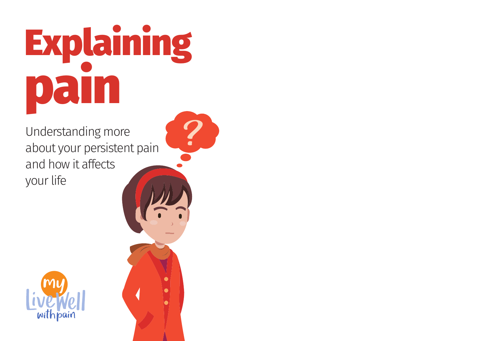## Explaining pa l

Understanding more about your persistent pain and how it affects your life



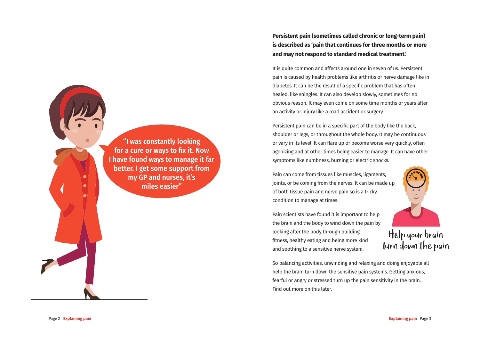Persistent pain (sometimes called chronic or long-term pain) is described as 'pain that continues for three months or more and may not respond to standard medical treatment.

It is quite common and affects around one in seven of us. Persistent pain is caused by health problems like arthritis or nerve damage like in diabetes. It can be the result of a specific problem that has often healed, like shingles. It can also develop slowly, sometimes for no obvious reason. It may even come on some time months or years after an activity or injury like a road accident or surgery.

Persistent pain can be in a specific part of the body like the back, shoulder or legs, or throughout the whole body. It may be continuous or vary in its level. It can flare up or become worse very quickly, often agonizing and at other times being easier to manage. It can have other symptoms like numbness, burning or electric shocks.

Pain can come from tissues like muscles, ligaments, joints, or be coming from the nerves. It can be made up of both tissue pain and nerve pain so is a tricky condition to manage at times.

Pain scientists have found it is important to help the brain and the body to wind down the pain by Help your brain<br>Turn down the pain looking after the body through building fitness, healthy eating and being more kind and soothing to a sensitive nerve system.

So balancing activities, unwinding and relaxing and doing enjoyable all help the brain turn down the sensitive pain systems. Getting anxious, fearful or angry or stressed turn up the pain sensitivity in the brain. Find out more on this later.

"I was constantly looking for a cure or ways to fix it. Now I have found ways to manage it far better. I get some support from my GP and nurses, it's miles easier"

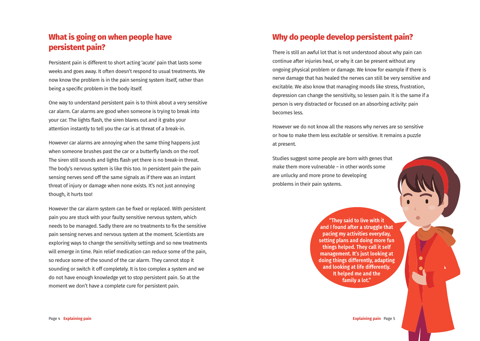## **What is going on when people have persistent pain?**

Persistent pain is different to short acting 'acute' pain that lasts some weeks and goes away. It often doesn't respond to usual treatments. We now know the problem is in the pain sensing system itself, rather than being a specific problem in the body itself.

One way to understand persistent pain is to think about a very sensitive car alarm. Car alarms are good when someone is trying to break into your car. The lights flash, the siren blares out and it grabs your attention instantly to tell you the car is at threat of a break-in.

However car alarms are annoying when the same thing happens just when someone brushes past the car or a butterfly lands on the roof. The siren still sounds and lights flash yet there is no break-in threat. The body's nervous system is like this too. In persistent pain the pain sensing nerves send off the same signals as if there was an instant threat of injury or damage when none exists. It's not just annoying though, it hurts too!

However the car alarm system can be fixed or replaced. With persistent pain you are stuck with your faulty sensitive nervous system, which needs to be managed. Sadly there are no treatments to fix the sensitive pain sensing nerves and nervous system at the moment. Scientists are exploring ways to change the sensitivity settings and so new treatments will emerge in time. Pain relief medication can reduce some of the pain, so reduce some of the sound of the car alarm. They cannot stop it sounding or switch it off completely. It is too complex a system and we do not have enough knowledge yet to stop persistent pain. So at the moment we don't have a complete cure for persistent pain.

## **Why do people develop persistent pain?**

There is still an awful lot that is not understood about why pain can continue after injuries heal, or why it can be present without any ongoing physical problem or damage. We know for example if there is nerve damage that has healed the nerves can still be very sensitive and excitable. We also know that managing moods like stress, frustration, depression can change the sensitivity, so lessen pain. It is the same if a person is very distracted or focused on an absorbing activity: pain becomes less.

However we do not know all the reasons why nerves are so sensitive or how to make them less excitable or sensitive. It remains a puzzle at present.

Studies suggest some people are born with genes that make them more vulnerable – in other words some are unlucky and more prone to developing problems in their pain systems.

> "They said to live with it and I found after a struggle that pacing my activities everyday. setting plans and doing more fun things helped. They call it self management. It's just looking at doing things differently, adapting and looking at life differently. It helped me and the family a lot."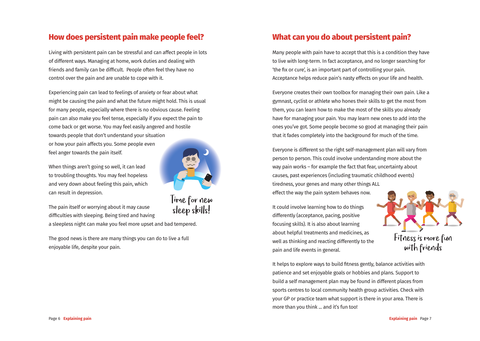## **How does persistent pain make people feel?**

Living with persistent pain can be stressful and can affect people in lots of different ways. Managing at home, work duties and dealing with friends and family can be difficult. People often feel they have no control over the pain and are unable to cope with it.

Experiencing pain can lead to feelings of anxiety or fear about what might be causing the pain and what the future might hold. This is usual for many people, especially where there is no obvious cause. Feeling pain can also make you feel tense, especially if you expect the pain to come back or get worse. You may feel easily angered and hostile towards people that don't understand your situation or how your pain affects you. Some people even feel anger towards the pain itself.

When things aren't going so well, it can lead to troubling thoughts. You may feel hopeless and very down about feeling this pain, which can result in depression.

Time for new<br>sleep skills! The pain itself or worrying about it may cause difficulties with sleeping. Being tired and having a sleepless night can make you feel more upset and bad tempered.

The good news is there are many things you can do to live a full enjoyable life, despite your pain.



Many people with pain have to accept that this is a condition they have to live with long-term. In fact acceptance, and no longer searching for 'the fix or cure', is an important part of controlling your pain. Acceptance helps reduce pain's nasty effects on your life and health.

Everyone creates their own toolbox for managing their own pain. Like a gymnast, cyclist or athlete who hones their skills to get the most from them, you can learn how to make the most of the skills you already have for managing your pain. You may learn new ones to add into the ones you've got. Some people become so good at managing their pain that it fades completely into the background for much of the time.

Everyone is different so the right self-management plan will vary from person to person. This could involve understanding more about the way pain works – for example the fact that fear, uncertainty about causes, past experiences (including traumatic childhood events) tiredness, your genes and many other things ALL effect the way the pain system behaves now.

It could involve learning how to do things differently (acceptance, pacing, positive focusing skills). It is also about learning about helpful treatments and medicines, as well as thinking and reacting differently to the pain and life events in general.



It helps to explore ways to build fitness gently, balance activities with patience and set enjoyable goals or hobbies and plans. Support to build a self management plan may be found in different places from sports centres to local community health group activities. Check with your GP or practice team what support is there in your area. There is more than you think ... and it's fun too!